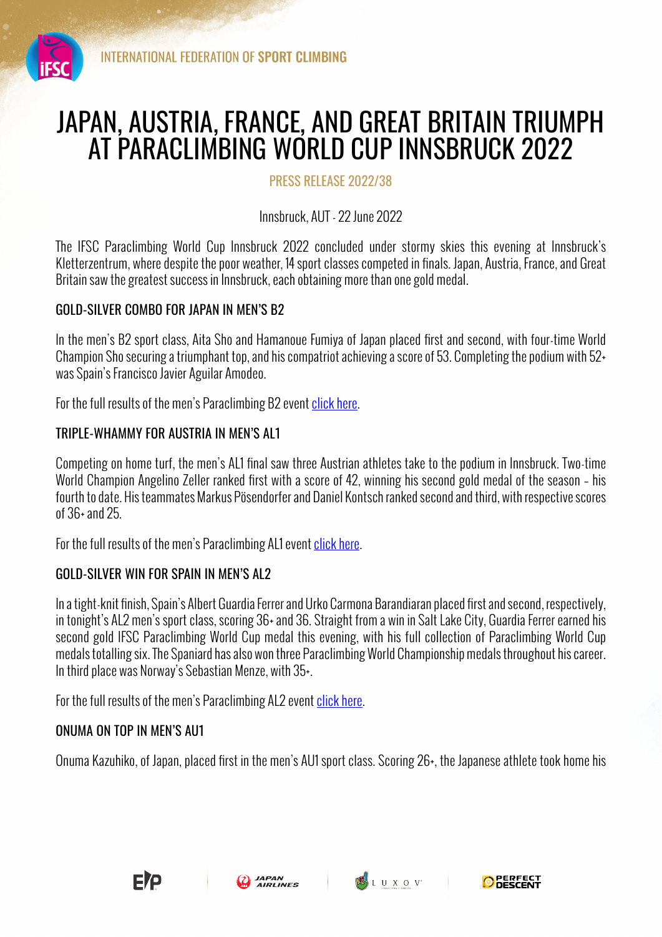

# JAPAN, AUSTRIA, FRANCE, AND GREAT BRITAIN TRIUMPH AT PARACLIMBING WORLD CUP INNSBRUCK 2022

PRESS RELEASE 2022/38

Innsbruck, AUT - 22 June 2022

The IFSC Paraclimbing World Cup Innsbruck 2022 concluded under stormy skies this evening at Innsbruck's Kletterzentrum, where despite the poor weather, 14 sport classes competed in finals. Japan, Austria, France, and Great Britain saw the greatest success in Innsbruck, each obtaining more than one gold medal.

## GOLD-SILVER COMBO FOR JAPAN IN MEN'S B2

In the men's B2 sport class, Aita Sho and Hamanoue Fumiya of Japan placed first and second, with four-time World Champion Sho securing a triumphant top, and his compatriot achieving a score of 53. Completing the podium with 52+ was Spain's Francisco Javier Aguilar Amodeo.

For the full results of the men's Paraclimbing B2 event click here.

# TRIPLE-WHAMMY FOR AUSTRIA IN MEN'S AL1

Competing on home turf, the men's AL1 final saw three Austrian athletes take to the podium in Innsbruck. Two-time World Champion Angelino Zeller ranked first with a score of 42, winning his second gold medal of the season – his fourth to date. His teammates Markus Pösendorfer and Daniel Kontsch ranked second and third, with respective scores of 36+ and 25.

For the full results of the men's Paraclimbing AL1 event click here.

## GOLD-SILVER WIN FOR SPAIN IN MEN'S AL2

In a tight-knit finish, Spain's Albert Guardia Ferrer and Urko Carmona Barandiaran placed first and second, respectively, in tonight's AL2 men's sport class, scoring 36+ and 36. Straight from a win in Salt Lake City, Guardia Ferrer earned his second gold IFSC Paraclimbing World Cup medal this evening, with his full collection of Paraclimbing World Cup medals totalling six. The Spaniard has also won three Paraclimbing World Championship medals throughout his career. In third place was Norway's Sebastian Menze, with 35+.

For the full results of the men's Paraclimbing AL2 event click here.

## ONUMA ON TOP IN MEN'S AU1

Onuma Kazuhiko, of Japan, placed first in the men's AU1 sport class. Scoring 26+, the Japanese athlete took home his





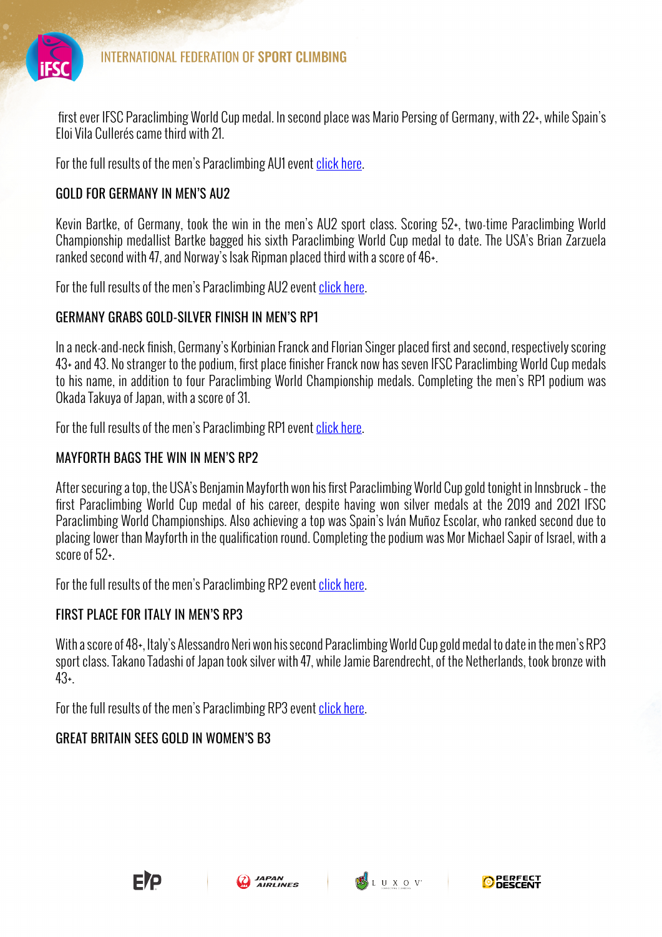

first ever IFSC Paraclimbing World Cup medal. In second place was Mario Persing of Germany, with 22+, while Spain's Eloi Vila Cullerés came third with 21.

For the full results of the men's Paraclimbing AU1 event click here.

## GOLD FOR GERMANY IN MEN'S AU2

Kevin Bartke, of Germany, took the win in the men's AU2 sport class. Scoring 52+, two-time Paraclimbing World Championship medallist Bartke bagged his sixth Paraclimbing World Cup medal to date. The USA's Brian Zarzuela ranked second with 47, and Norway's Isak Ripman placed third with a score of 46+.

For the full results of the men's Paraclimbing AU2 event click here.

## GERMANY GRABS GOLD-SILVER FINISH IN MEN'S RP1

In a neck-and-neck finish, Germany's Korbinian Franck and Florian Singer placed first and second, respectively scoring 43+ and 43. No stranger to the podium, first place finisher Franck now has seven IFSC Paraclimbing World Cup medals to his name, in addition to four Paraclimbing World Championship medals. Completing the men's RP1 podium was Okada Takuya of Japan, with a score of 31.

For the full results of the men's Paraclimbing RP1 event click here.

## MAYFORTH BAGS THE WIN IN MEN'S RP2

After securing a top, the USA's Benjamin Mayforth won his first Paraclimbing World Cup gold tonight in Innsbruck – the first Paraclimbing World Cup medal of his career, despite having won silver medals at the 2019 and 2021 IFSC Paraclimbing World Championships. Also achieving a top was Spain's Iván Muñoz Escolar, who ranked second due to placing lower than Mayforth in the qualification round. Completing the podium was Mor Michael Sapir of Israel, with a score of 52+.

For the full results of the men's Paraclimbing RP2 event click here.

# FIRST PLACE FOR ITALY IN MEN'S RP3

With a score of 48+, Italy's Alessandro Neri won his second Paraclimbing World Cup gold medal to date in the men's RP3 sport class. Takano Tadashi of Japan took silver with 47, while Jamie Barendrecht, of the Netherlands, took bronze with 43+.

For the full results of the men's Paraclimbing RP3 event click here.

# GREAT BRITAIN SEES GOLD IN WOMEN'S B3





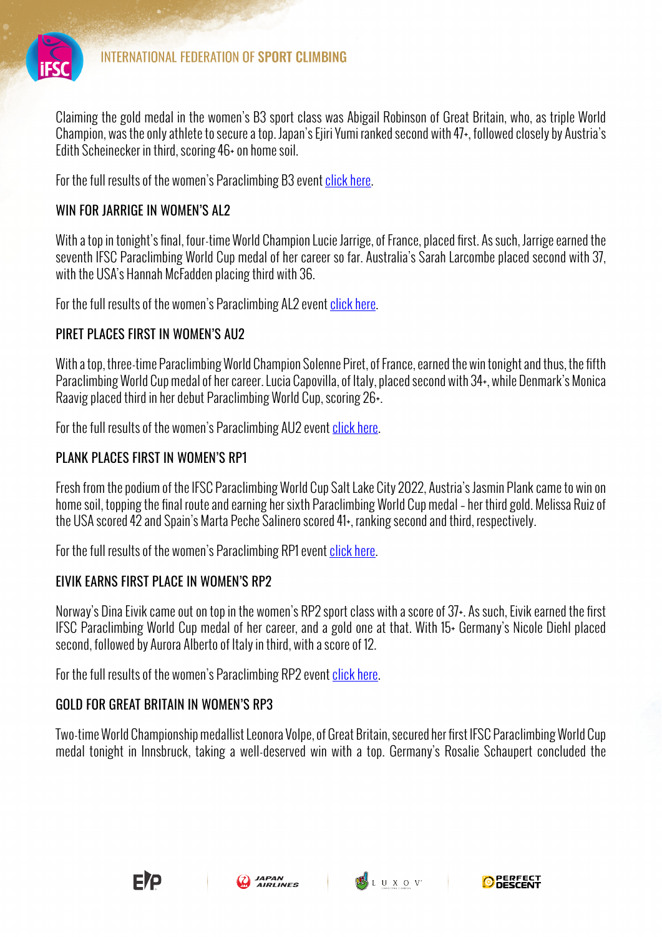

Claiming the gold medal in the women's B3 sport class was Abigail Robinson of Great Britain, who, as triple World Champion, was the only athlete to secure a top. Japan's Ejiri Yumi ranked second with 47+, followed closely by Austria's Edith Scheinecker in third, scoring 46+ on home soil.

For the full results of the women's Paraclimbing B3 event click here.

#### WIN FOR JARRIGE IN WOMEN'S AL2

With a top in tonight's final, four-time World Champion Lucie Jarrige, of France, placed first. As such, Jarrige earned the seventh IFSC Paraclimbing World Cup medal of her career so far. Australia's Sarah Larcombe placed second with 37, with the USA's Hannah McFadden placing third with 36.

For the full results of the women's Paraclimbing AL2 event click here.

## PIRFT PLACES FIRST IN WOMEN'S AU2

With a top, three-time Paraclimbing World Champion Solenne Piret, of France, earned the win tonight and thus, the fifth Paraclimbing World Cup medal of her career. Lucia Capovilla, of Italy, placed second with 34+, while Denmark's Monica Raavig placed third in her debut Paraclimbing World Cup, scoring 26+.

For the full results of the women's Paraclimbing AU2 event click here.

## PLANK PLACES FIRST IN WOMEN'S RP1

Fresh from the podium of the IFSC Paraclimbing World Cup Salt Lake City 2022, Austria's Jasmin Plank came to win on home soil, topping the final route and earning her sixth Paraclimbing World Cup medal – her third gold. Melissa Ruiz of the USA scored 42 and Spain's Marta Peche Salinero scored 41+, ranking second and third, respectively.

For the full results of the women's Paraclimbing RP1 event click here.

## EIVIK EARNS FIRST PLACE IN WOMEN'S RP2

Norway's Dina Eivik came out on top in the women's RP2 sport class with a score of 37+. As such, Eivik earned the first IFSC Paraclimbing World Cup medal of her career, and a gold one at that. With 15+ Germany's Nicole Diehl placed second, followed by Aurora Alberto of Italy in third, with a score of 12.

For the full results of the women's Paraclimbing RP2 event click here.

## GOLD FOR GREAT BRITAIN IN WOMEN'S RP3

Two-time World Championship medallist Leonora Volpe, of Great Britain, secured her first IFSC Paraclimbing World Cup medal tonight in Innsbruck, taking a well-deserved win with a top. Germany's Rosalie Schaupert concluded the